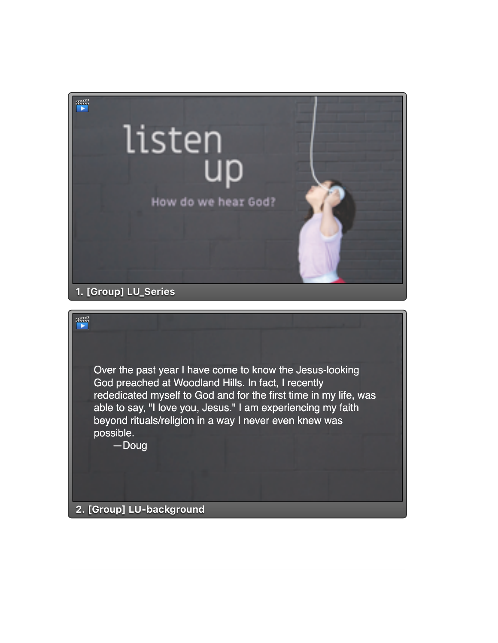

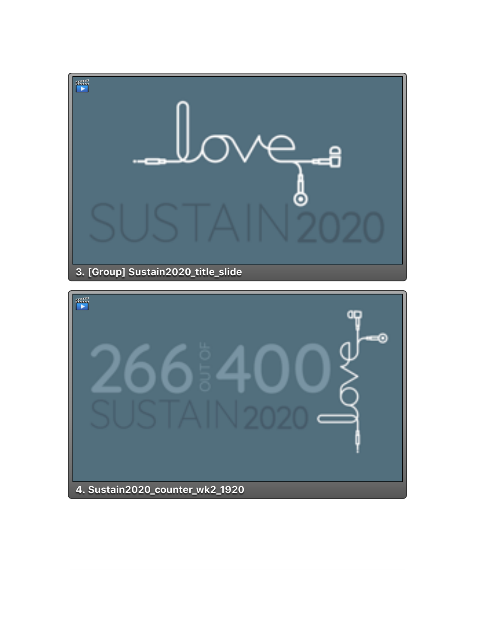

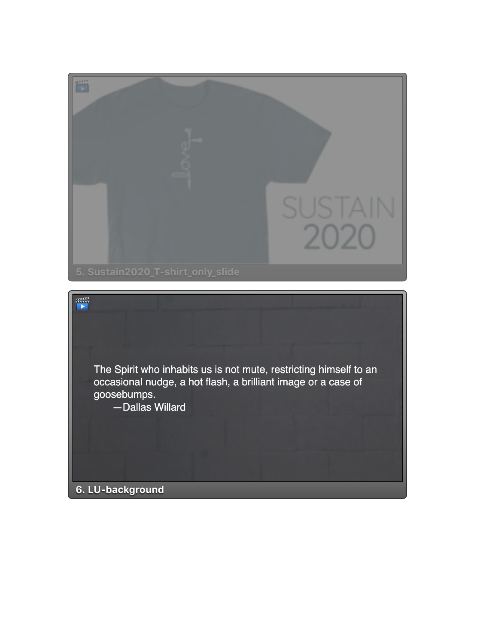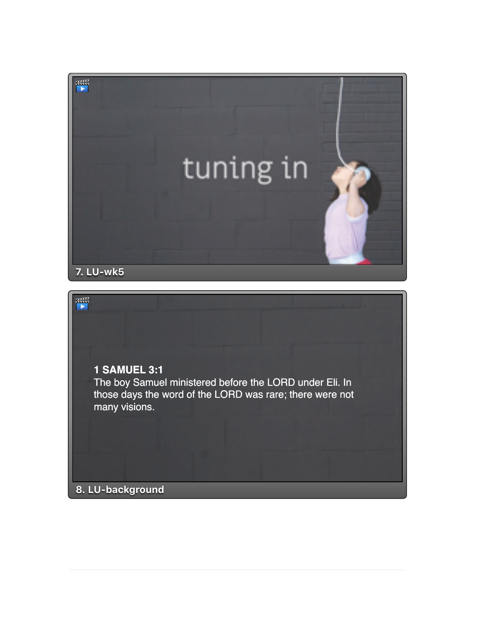

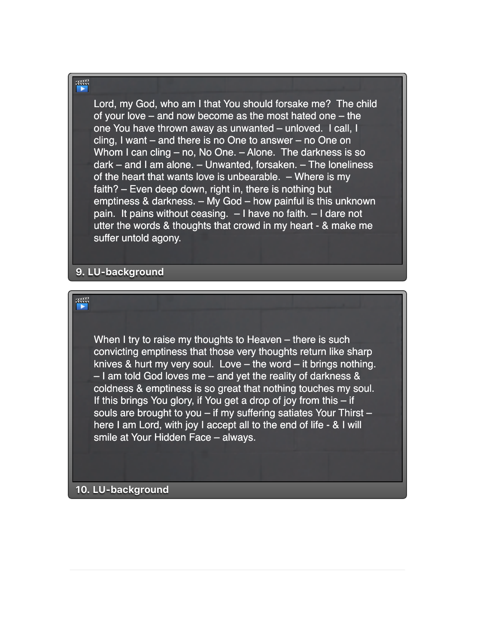罾

晉

Lord, my God, who am I that You should forsake me? The child of your love – and now become as the most hated one – the one You have thrown away as unwanted – unloved. I call, I cling, I want – and there is no One to answer – no One on Whom I can cling – no, No One. – Alone. The darkness is so dark – and I am alone. – Unwanted, forsaken. – The loneliness of the heart that wants love is unbearable. – Where is my faith? – Even deep down, right in, there is nothing but emptiness & darkness. – My God – how painful is this unknown pain. It pains without ceasing. – I have no faith. – I dare not utter the words & thoughts that crowd in my heart - & make me suffer untold agony.

**9. LU-background**

When I try to raise my thoughts to Heaven – there is such convicting emptiness that those very thoughts return like sharp knives & hurt my very soul. Love – the word – it brings nothing. – I am told God loves me – and yet the reality of darkness & coldness & emptiness is so great that nothing touches my soul. If this brings You glory, if You get a drop of joy from this – if souls are brought to you – if my suffering satiates Your Thirst – here I am Lord, with joy I accept all to the end of life - & I will smile at Your Hidden Face – always.

**10. LU-background**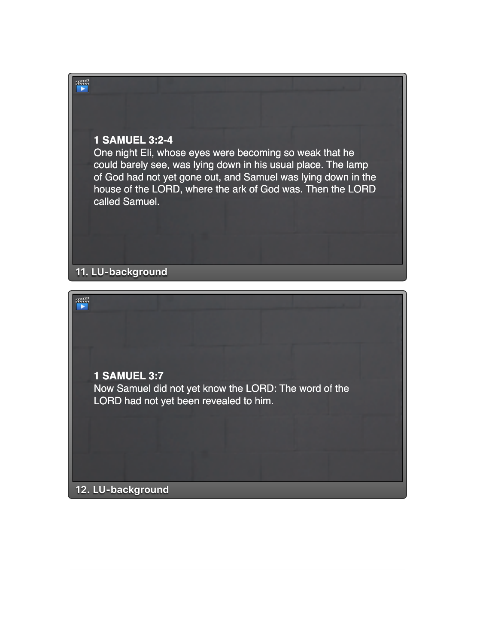## **1 SAMUEL 3:2-4**

帶

One night Eli, whose eyes were becoming so weak that he could barely see, was lying down in his usual place. The lamp of God had not yet gone out, and Samuel was lying down in the house of the LORD, where the ark of God was. Then the LORD called Samuel.

**11. LU-background**